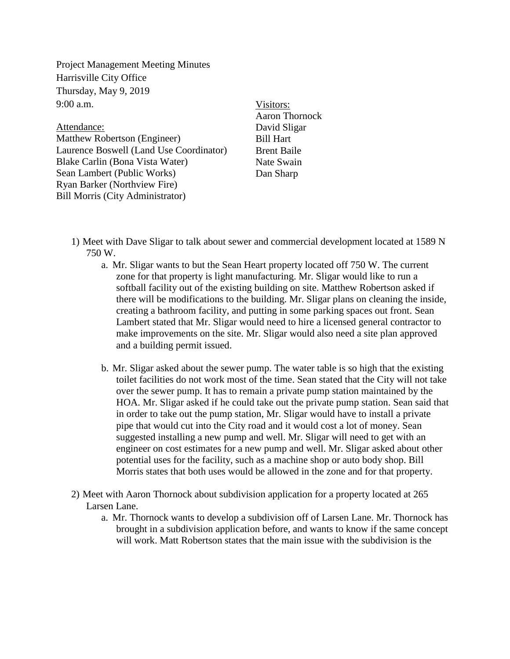Project Management Meeting Minutes Harrisville City Office Thursday, May 9, 2019  $9:00$  a.m.

Attendance: Matthew Robertson (Engineer) Laurence Boswell (Land Use Coordinator) Blake Carlin (Bona Vista Water) Sean Lambert (Public Works) Ryan Barker (Northview Fire) Bill Morris (City Administrator)

Visitors: Aaron Thornock David Sligar Bill Hart Brent Baile Nate Swain Dan Sharp

- 1) Meet with Dave Sligar to talk about sewer and commercial development located at 1589 N 750 W.
	- a. Mr. Sligar wants to but the Sean Heart property located off 750 W. The current zone for that property is light manufacturing. Mr. Sligar would like to run a softball facility out of the existing building on site. Matthew Robertson asked if there will be modifications to the building. Mr. Sligar plans on cleaning the inside, creating a bathroom facility, and putting in some parking spaces out front. Sean Lambert stated that Mr. Sligar would need to hire a licensed general contractor to make improvements on the site. Mr. Sligar would also need a site plan approved and a building permit issued.
	- b. Mr. Sligar asked about the sewer pump. The water table is so high that the existing toilet facilities do not work most of the time. Sean stated that the City will not take over the sewer pump. It has to remain a private pump station maintained by the HOA. Mr. Sligar asked if he could take out the private pump station. Sean said that in order to take out the pump station, Mr. Sligar would have to install a private pipe that would cut into the City road and it would cost a lot of money. Sean suggested installing a new pump and well. Mr. Sligar will need to get with an engineer on cost estimates for a new pump and well. Mr. Sligar asked about other potential uses for the facility, such as a machine shop or auto body shop. Bill Morris states that both uses would be allowed in the zone and for that property.
- 2) Meet with Aaron Thornock about subdivision application for a property located at 265 Larsen Lane.
	- a. Mr. Thornock wants to develop a subdivision off of Larsen Lane. Mr. Thornock has brought in a subdivision application before, and wants to know if the same concept will work. Matt Robertson states that the main issue with the subdivision is the